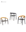



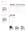## **JIVE** SPECIFICATIONS

| <b>CHAIR</b> |                    |  | Ref: JIV 55W |  |
|--------------|--------------------|--|--------------|--|
|              | $0.21 \text{ m}^3$ |  | 6,6 kg       |  |
|              | 48-49              |  |              |  |



| CHAIR |                            |  | Ref: JIV 55WG       |  |
|-------|----------------------------|--|---------------------|--|
|       | $\Box$ 0.21 m <sup>3</sup> |  | $\mathbf{E}$ 6.6 kg |  |
|       | 50-51, 52-53, 56-57, 58-59 |  |                     |  |



|                 |  | COATED<br>ALUMINIUM + TEAK<br>A<br>TK | COATED<br>ALUMINIUM + TEAK<br><b>BR</b><br>TK |  |  |
|-----------------|--|---------------------------------------|-----------------------------------------------|--|--|
|                 |  |                                       |                                               |  |  |
| OLEFIN<br>FIBER |  | JIV 55 WGA                            | JIV 55 WGBR                                   |  |  |
|                 |  |                                       |                                               |  |  |
|                 |  |                                       | <b>CUSHIONS</b>                               |  |  |
|                 |  | PIL JIV 55 LED (SEAT + BACK)          |                                               |  |  |
| CAT. A          |  |                                       |                                               |  |  |
| CAT. B          |  |                                       |                                               |  |  |
| CAT. C          |  |                                       |                                               |  |  |
|                 |  |                                       | PIL JIV 55 SED (SEAT)                         |  |  |
| CAT. A          |  |                                       |                                               |  |  |
| CAT. B          |  |                                       |                                               |  |  |
| CAT. C          |  |                                       | ٠                                             |  |  |
|                 |  | PIL JIV 55 BED (BACK)                 |                                               |  |  |
| CAT. A          |  |                                       |                                               |  |  |
| CAT. B          |  |                                       |                                               |  |  |
| CAT. C          |  |                                       |                                               |  |  |





PIL JIV 55 LED PIL JIV 55 SED PIL JIV 55 BED



|        | COATED<br>ALUMINIUM + TEAK | COATED<br>ALUMINIUM + TEAK | COATED<br>ALUMINIUM + TEAK | COATED<br>ALUMINIUM + TEAK    | COATED<br>ALUMINIUM + TEAK | COATED<br>ALUMINIUM + TEAK |
|--------|----------------------------|----------------------------|----------------------------|-------------------------------|----------------------------|----------------------------|
|        | A                          | <b>TK</b><br><b>BR</b>     | <b>WR</b><br>ТK            | <b>TK</b><br>MR               | TK<br>OL                   | TK<br><b>SB</b>            |
|        | <b>JIV 55 WA</b>           | JIV 55 WBR                 | JIV 55 WWR                 | JIV 55 WMR                    | JIV 55 WOL                 | <b>JIV 55 WSB</b>          |
|        | ٠                          | ٠                          | ٠                          | ٠                             | ٠                          | ٠                          |
|        |                            |                            | <b>CUSHIONS</b>            |                               |                            |                            |
|        |                            |                            |                            | PIL JIV 55 ALED (SEAT + BACK) |                            |                            |
| CAT. A |                            |                            |                            |                               |                            |                            |
| CAT. B |                            |                            |                            |                               |                            |                            |
| CAT. C |                            |                            |                            |                               |                            |                            |
|        | PIL JIV 55 ASED (SEAT)     |                            |                            |                               |                            |                            |
| CAT. A |                            |                            |                            |                               |                            |                            |
| CAT. B |                            |                            |                            |                               |                            |                            |
| CAT. C |                            |                            |                            |                               |                            |                            |
|        | PIL JIV 55 BED (BACK)      |                            |                            |                               |                            |                            |
| CAT. A |                            |                            |                            |                               |                            |                            |
| CAT. B |                            |                            |                            |                               |                            |                            |
| CAT. C |                            |                            |                            |                               |                            |                            |